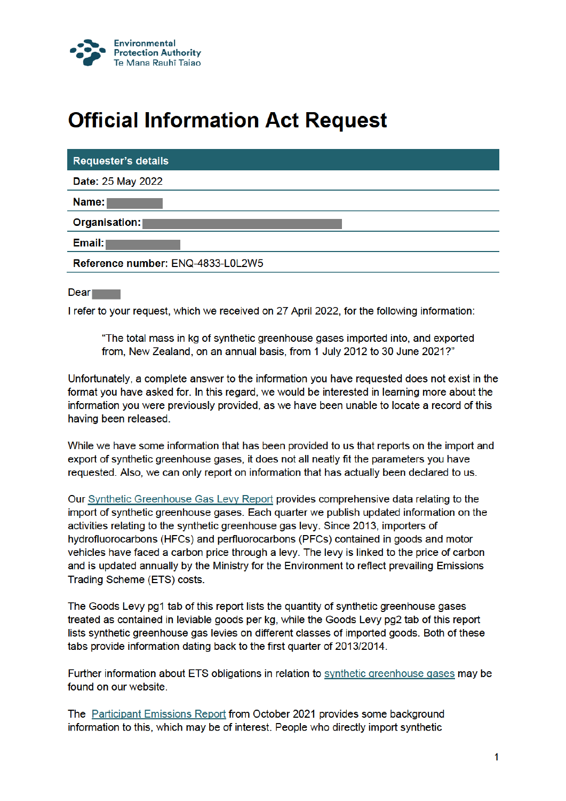

## **Official Information Act Request**

| <b>Requester's details</b>        |
|-----------------------------------|
| <b>Date: 25 May 2022</b>          |
| Name: I                           |
| Organisation:                     |
| Email:                            |
| Reference number: ENQ-4833-L0L2W5 |
|                                   |

**Dear** 

I refer to your request, which we received on 27 April 2022, for the following information:

"The total mass in kg of synthetic greenhouse gases imported into, and exported from, New Zealand, on an annual basis, from 1 July 2012 to 30 June 2021?"

Unfortunately, a complete answer to the information you have requested does not exist in the format you have asked for. In this regard, we would be interested in learning more about the information you were previously provided, as we have been unable to locate a record of this having been released.

While we have some information that has been provided to us that reports on the import and export of synthetic greenhouse gases, it does not all neatly fit the parameters you have requested. Also, we can only report on information that has actually been declared to us.

Our Synthetic Greenhouse Gas Levy Report provides comprehensive data relating to the import of synthetic greenhouse gases. Each quarter we publish updated information on the activities relating to the synthetic greenhouse gas levy. Since 2013, importers of hydrofluorocarbons (HFCs) and perfluorocarbons (PFCs) contained in goods and motor vehicles have faced a carbon price through a levy. The levy is linked to the price of carbon and is updated annually by the Ministry for the Environment to reflect prevailing Emissions Trading Scheme (ETS) costs.

The Goods Levy pg1 tab of this report lists the quantity of synthetic greenhouse gases treated as contained in leviable goods per kg, while the Goods Levy pg2 tab of this report lists synthetic greenhouse gas levies on different classes of imported goods. Both of these tabs provide information dating back to the first quarter of 2013/2014.

Further information about ETS obligations in relation to synthetic greenhouse gases may be found on our website.

The Participant Emissions Report from October 2021 provides some background information to this, which may be of interest. People who directly import synthetic